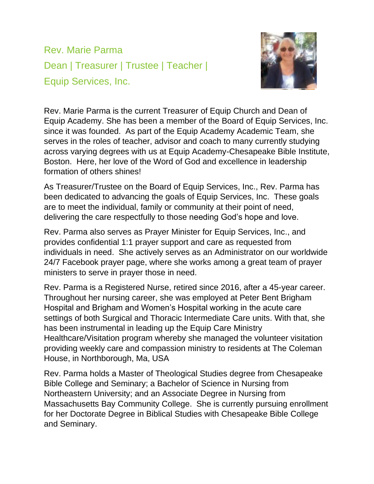Rev. Marie Parma Dean | Treasurer | Trustee | Teacher | Equip Services, Inc.



Rev. Marie Parma is the current Treasurer of Equip Church and Dean of Equip Academy. She has been a member of the Board of Equip Services, Inc. since it was founded. As part of the Equip Academy Academic Team, she serves in the roles of teacher, advisor and coach to many currently studying across varying degrees with us at Equip Academy-Chesapeake Bible Institute, Boston. Here, her love of the Word of God and excellence in leadership formation of others shines!

As Treasurer/Trustee on the Board of Equip Services, Inc., Rev. Parma has been dedicated to advancing the goals of Equip Services, Inc. These goals are to meet the individual, family or community at their point of need, delivering the care respectfully to those needing God's hope and love.

Rev. Parma also serves as Prayer Minister for Equip Services, Inc., and provides confidential 1:1 prayer support and care as requested from individuals in need. She actively serves as an Administrator on our worldwide 24/7 Facebook prayer page, where she works among a great team of prayer ministers to serve in prayer those in need.

Rev. Parma is a Registered Nurse, retired since 2016, after a 45-year career. Throughout her nursing career, she was employed at Peter Bent Brigham Hospital and Brigham and Women's Hospital working in the acute care settings of both Surgical and Thoracic Intermediate Care units. With that, she has been instrumental in leading up the Equip Care Ministry Healthcare/Visitation program whereby she managed the volunteer visitation providing weekly care and compassion ministry to residents at The Coleman House, in Northborough, Ma, USA

Rev. Parma holds a Master of Theological Studies degree from Chesapeake Bible College and Seminary; a Bachelor of Science in Nursing from Northeastern University; and an Associate Degree in Nursing from Massachusetts Bay Community College. She is currently pursuing enrollment for her Doctorate Degree in Biblical Studies with Chesapeake Bible College and Seminary.